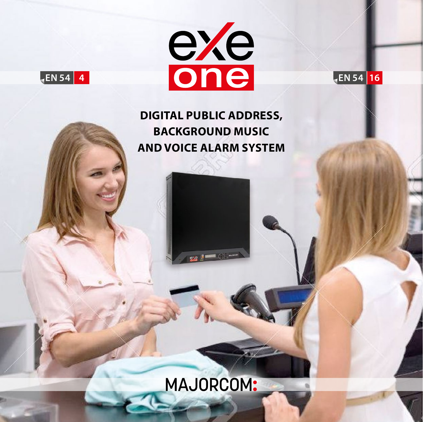



EN 54 16

**DIGITAL PUBLIC ADDRESS, BACKGROUND MUSIC AND VOICE ALARM SYSTEM**

ese : 402

# **MAJORCOM:**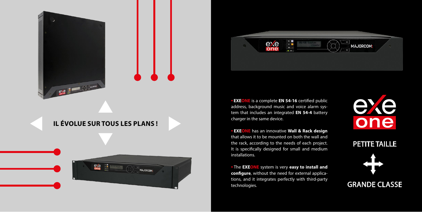**• EXEONE** is a complete **EN 54-16** certified public address, background music and voice alarm system that includes an integrated **EN 54-4** battery charger in the same device.

**• EXEONE** has an innovative **Wall & Rack design**  that allows it to be mounted on both the wall and the rack, according to the needs of each project. It is specifically designed for small and medium installations.

# **exercise COMMANDER IL ÉVOLUE SUR TOUS LES PLANS !**





**•** The **EXEONE** system is very **easy to install and configure**, without the need for external applications, and it integrates perfectly with third-party technologies.

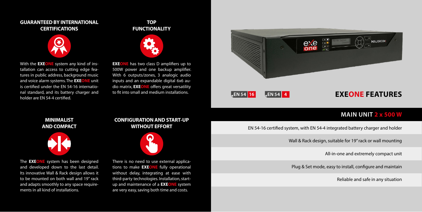

# **MAIN UNIT 2 x 500 W**

EN 54-16 certified system, with EN 54-4 integrated battery charger and holder

Wall & Rack design, suitable for 19" rack or wall mounting

All-in-one and extremely compact unit

Plug & Set mode, easy to install, configure and maintain

Reliable and safe in any situation

With the **EXEONE** system any kind of installation can access to cutting edge features in public address, background music and voice alarm systems. The **EXEONE** unit is certified under the EN 54-16 international standard, and its battery charger and holder are EN 54‑4 certified.

**EXEONE** has two class D amplifiers up to 500W power and one backup amplifier. With 6 outputs/zones, 3 analogic audio inputs and an expandable digital 6x6 audio matrix, **EXEONE** offers great versatility to fit into small and medium installations.

There is no need to use external applications to make **EXEONE** fully operational without delay, integrating at ease with third-party technologies. Installation, startup and maintenance of a **EXEONE** system are very easy, saving both time and costs.

The **EXEONE** system has been designed and developed down to the last detail. Its innovative Wall & Rack design allows it to be mounted on both wall and 19" rack and adapts smoothly to any space requirements in all kind of installations.

### **GUARANTEED BY INTERNATIONAL CERTIFICATIONS**



## **TOP FUNCTIONALITY**



### **CONFIGURATION AND START-UP WITHOUT EFFORT**



**MINIMALIST AND COMPACT**